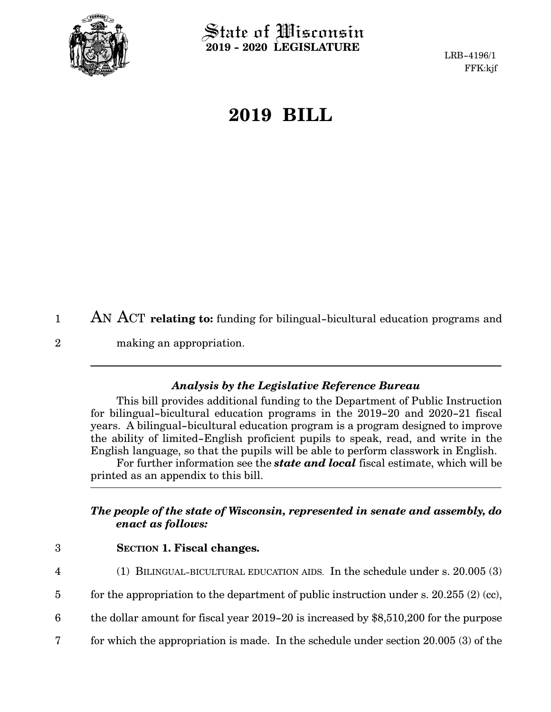

 $\operatorname{\mathsf{State}}$  of Wisconsin **2019 - 2020 LEGISLATURE**

LRB-4196/1 FFK:kjf

## **2019 BILL**

AN ACT **relating to:** funding for bilingual-bicultural education programs and making an appropriation. 1 2

## *Analysis by the Legislative Reference Bureau*

This bill provides additional funding to the Department of Public Instruction for bilingual-bicultural education programs in the 2019-20 and 2020-21 fiscal years. A bilingual-bicultural education program is a program designed to improve the ability of limited-English proficient pupils to speak, read, and write in the English language, so that the pupils will be able to perform classwork in English.

For further information see the *state and local* fiscal estimate, which will be printed as an appendix to this bill.

## *The people of the state of Wisconsin, represented in senate and assembly, do enact as follows:*

3

4

**SECTION 1.**0**Fiscal changes.**

- (1) BILINGUAL-BICULTURAL EDUCATION AIDS. In the schedule under s. 20.005 (3)
- for the appropriation to the department of public instruction under s. 20.255  $(2)$  (cc), 5
- the dollar amount for fiscal year 2019-20 is increased by \$8,510,200 for the purpose 6
- for which the appropriation is made. In the schedule under section 20.005 (3) of the 7